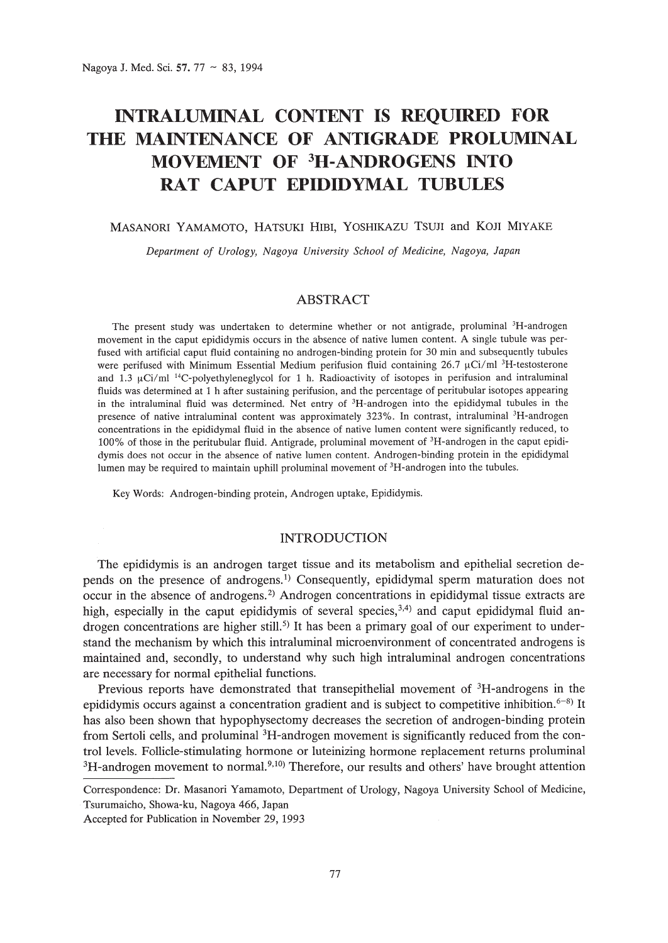# **INTRALUMINAL CONTENT IS REQUIRED FOR THE MAINTENANCE OF ANTIGRADE** PROLUMINAL **MOVEMENT OF 3H-ANDROGENS INTO RAT CAPUT EPIDIDYMAL TUBULES**

## MASANORI YAMAMOTO, HATSUKI HIBI, YOSHIKAZU TSUJI and KOJI MIYAKE

*Department of Urology, Nagoya University School of Medicine, Nagoya, Japan*

# **ABSTRACT**

The present study was undertaken to determine whether or not antigrade, proluminal <sup>3</sup>H-androgen movement in the caput epididymis occurs in the absence of native lumen content. A single tubule was perfused with artificial caput fluid containing no androgen-binding protein for 30 min and subsequently tubules were perifused with Minimum Essential Medium perifusion fluid containing  $26.7 \mu \text{Ci/m}$  <sup>3</sup>H-testosterone and 1.3  $\mu$ Ci/ml <sup>14</sup>C-polyethyleneglycol for 1 h. Radioactivity of isotopes in perifusion and intraluminal fluids was determined at 1 h after sustaining perifusion, and the percentage of peritubular isotopes appearing in the intraluminal fluid was determined. Net entry of <sup>3</sup>H-androgen into the epididymal tubules in the presence of native intraluminal content was approximately 323%. In contrast, intraluminal <sup>3</sup>H-androgen concentrations in the epididymal fluid in the absence of native lumen content were significantly reduced, to 100% of those in the peritubular fluid. Antigrade, proluminal movement of 3H-androgen in the caput epididymis does not occur in the absence of native lumen content. Androgen-binding protein in the epididymal lumen may be required to maintain uphill proluminal movement of 3H-androgen into the tubules.

Key Words: Androgen-binding protein, Androgen uptake, Epididymis.

#### **INTRODUCTION**

The epididymis is an androgen target tissue and its metabolism and epithelial secretion depends on the presence of androgens.<sup>1)</sup> Consequently, epididymal sperm maturation does not occur in the absence of androgens.<sup>2)</sup> Androgen concentrations in epididymal tissue extracts are high, especially in the caput epididymis of several species,<sup>3,4)</sup> and caput epididymal fluid androgen concentrations are higher still.<sup>5)</sup> It has been a primary goal of our experiment to understand the mechanism by which this intraluminal microenvironment of concentrated androgens is maintained and, secondly, to understand why such high intraluminal androgen concentrations are necessary for normal epithelial functions.

Previous reports have demonstrated that transepithelial movement of  ${}^{3}$ H-androgens in the epididymis occurs against a concentration gradient and is subject to competitive inhibition.  $6-8$ ) It has also been shown that hypophysectomy decreases the secretion of androgen-binding protein from Sertoli cells, and proluminal 3H-androgen movement is significantly reduced from the control levels. Follicle-stimulating hormone or luteinizing hormone replacement returns proluminal  $3H$ -androgen movement to normal.<sup>9,10</sup>) Therefore, our results and others' have brought attention

Correspondence: Dr. Masanori Yamamoto, Department of Urology, Nagoya University School of Medicine, Tsurumaicho, Showa-ku, Nagoya 466, Japan

Accepted for Publication in November 29, 1993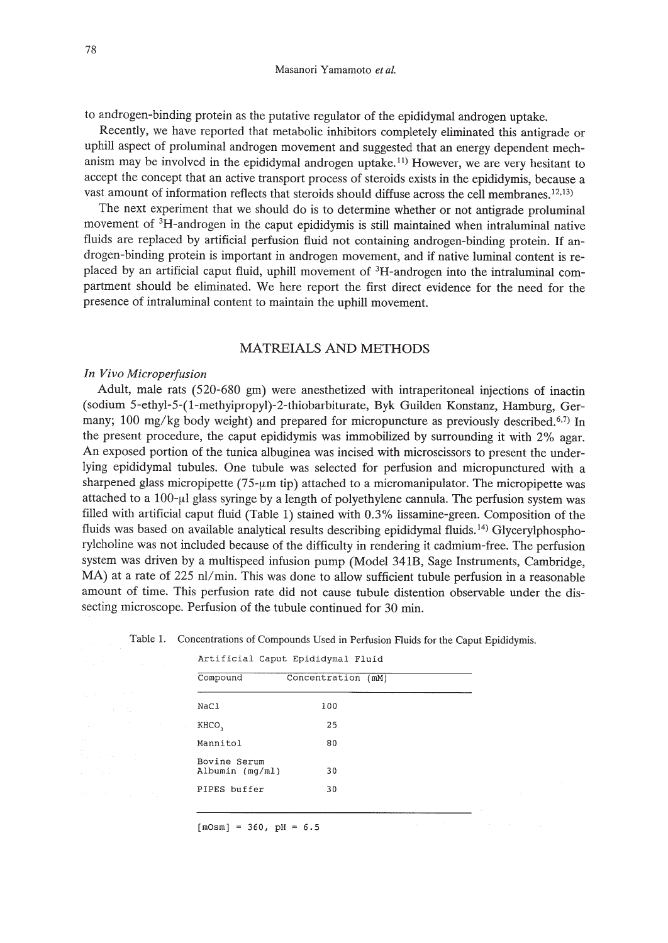to androgen-binding protein as the putative regulator of the epididymal androgen uptake.

Recently, we have reported that metabolic inhibitors completely eliminated this antigrade or uphill aspect of proluminal androgen movement and suggested that an energy dependent mechanism may be involved in the epididymal androgen uptake.<sup>11</sup>) However, we are very hesitant to accept the concept that an active transport process of steroids exists in the epididymis, because a vast amount of information reflects that steroids should diffuse across the cell membranes. 12,13)

The next experiment that we should do is to determine whether or not antigrade proluminal movement of 3H-androgen in the caput epididymis is still maintained when intraluminal native fluids are replaced by artificial perfusion fluid not containing androgen-binding protein. If androgen-binding protein is important in androgen movement, and if native luminal content is replaced by an artificial caput fluid, uphill movement of 3H-androgen into the intraluminal compartment should be eliminated. We here report the first direct evidence for the need for the presence of intraluminal content to maintain the uphill movement.

# MATREIALS AND METHODS

#### *In Vivo Microperjusion*

Adult, male rats (520-680 gm) were anesthetized with intraperitoneal injections of inactin (sodium 5-ethyl-5-(1-methyipropyl)-2-thiobarbiturate, Byk Guilden Konstanz, Hamburg, Germany; 100 mg/kg body weight) and prepared for micropuncture as previously described.<sup>6,7)</sup> In the present procedure, the caput epididymis was immobilized by surrounding it with 2% agar. An exposed portion of the tunica albuginea was incised with microscissors to present the underlying epididymal tubules. One tubule was selected for perfusion and micropunctured with a sharpened glass micropipette (75- $\mu$ m tip) attached to a micromanipulator. The micropipette was attached to a 100-µl glass syringe by a length of polyethylene cannula. The perfusion system was filled with artificial caput fluid (Table 1) stained with 0.3% lissamine-green. Composition of the fluids was based on available analytical results describing epididymal fluids.<sup>14)</sup> Glycerylphosphorylcholine was not included because of the difficulty in rendering it cadmium-free. The perfusion system was driven by a multispeed infusion pump (Model 341B, Sage Instruments, Cambridge, MA) at a rate of 225 nl/min. This was done to allow sufficient tubule perfusion in a reasonable amount of time. This perfusion rate did not cause tubule distention observable under the dissecting microscope. Perfusion of the tubule continued for 30 min.

Table 1. Concentrations of Compounds Used in Perfusion Fluids for the Caput Epididymis.

|                                 | Artificial Caput Epididymal Fluid |  |
|---------------------------------|-----------------------------------|--|
| Compound                        | Concentration (mM)                |  |
| NaCl                            | 100                               |  |
| KHCO,                           | 25                                |  |
| Mannitol                        | 80                                |  |
| Bovine Serum<br>Albumin (mq/ml) | 30                                |  |
| PIPES buffer                    | 30                                |  |
|                                 |                                   |  |

 $[mOsm] = 360, pH = 6.5$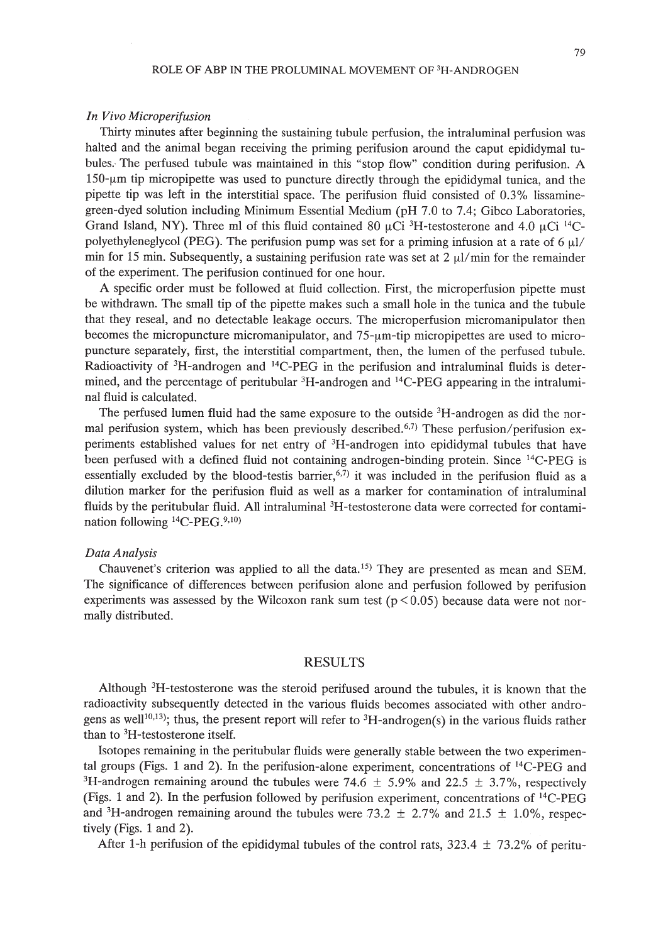#### *In Vivo Microperijusion*

Thirty minutes after beginning the sustaining tubule perfusion, the intraluminal perfusion was halted and the animal began receiving the priming perifusion around the caput epididymal tubules.' The perfused tubule was maintained in this "stop flow" condition during perifusion. A  $150$ - $\mu$ m tip micropipette was used to puncture directly through the epididymal tunica, and the pipette tip was left in the interstitial space. The perifusion fluid consisted of 0.3% lissaminegreen-dyed solution including Minimum Essential Medium (pH 7.0 to 7.4; Gibco Laboratories, Grand Island, NY). Three ml of this fluid contained 80  $\mu$ Ci <sup>3</sup>H-testosterone and 4.0  $\mu$ Ci <sup>14</sup>Cpolyethyleneglycol (PEG). The perifusion pump was set for a priming infusion at a rate of 6  $\mu$ / min for 15 min. Subsequently, a sustaining perifusion rate was set at 2  $\mu$ /min for the remainder of the experiment. The perifusion continued for one hour.

A specific order must be followed at fluid collection. First, the microperfusion pipette must be withdrawn. The small tip of the pipette makes such a small hole in the tunica and the tubule that they reseal, and no detectable leakage occurs. The microperfusion micromanipulator then becomes the micropuncture micromanipulator, and  $75-\mu m$ -tip micropipettes are used to micropuncture separately, first, the interstitial compartment, then, the lumen of the perfused tubule. Radioactivity of 3H-androgen and 14C-PEG in the perifusion and intraluminal fluids is determined, and the percentage of peritubular <sup>3</sup>H-androgen and <sup>14</sup>C-PEG appearing in the intraluminal fluid is calculated.

The perfused lumen fluid had the same exposure to the outside  ${}^{3}H$ -androgen as did the normal perifusion system, which has been previously described.<sup>6,7)</sup> These perfusion/perifusion experiments established values for net entry of 3H-androgen into epididymal tubules that have been perfused with a defined fluid not containing androgen-binding protein. Since <sup>14</sup>C-PEG is essentially excluded by the blood-testis barrier,  $6.7$  it was included in the perifusion fluid as a dilution marker for the perifusion fluid as well as a marker for contamination of intraluminal fluids by the peritubular fluid. All intraluminal <sup>3</sup>H-testosterone data were corrected for contamination following <sup>14</sup>C-PEG.<sup>9,10)</sup>

# *Data Analysis*

Chauvenet's criterion was applied to all the data. 15) They are presented as mean and SEM. The significance of differences between perifusion alone and perfusion followed by perifusion experiments was assessed by the Wilcoxon rank sum test ( $p < 0.05$ ) because data were not normally distributed.

# RESULTS

Although 3H-testosterone was the steroid perifused around the tubules, it is known that the radioactivity subsequently detected in the various fluids becomes associated with other androgens as well<sup>10,13</sup>); thus, the present report will refer to <sup>3</sup>H-androgen(s) in the various fluids rather than to 3H-testosterone itself.

Isotopes remaining in the peritubular fluids were generally stable between the two experimental groups (Figs. 1 and 2). In the perifusion-alone experiment, concentrations of 14C-PEG and <sup>3</sup>H-androgen remaining around the tubules were 74.6  $\pm$  5.9% and 22.5  $\pm$  3.7%, respectively (Figs. 1 and 2). In the perfusion followed by perifusion experiment, concentrations of 14C-PEG and <sup>3</sup>H-androgen remaining around the tubules were 73.2  $\pm$  2.7% and 21.5  $\pm$  1.0%, respectively (Figs. 1 and 2).

After 1-h perifusion of the epididymal tubules of the control rats,  $323.4 \pm 73.2\%$  of peritu-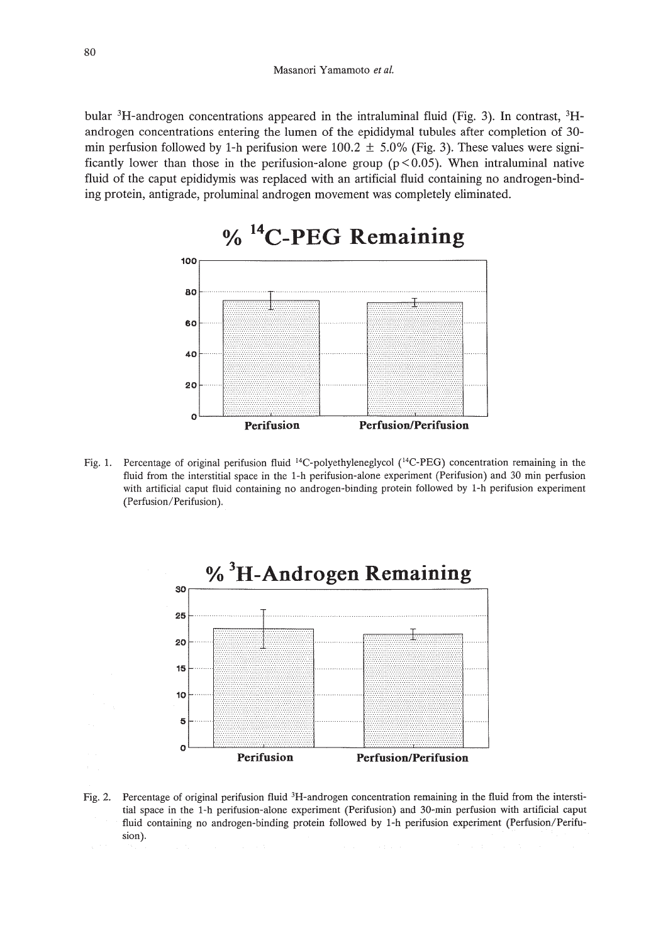bular 3H-androgen concentrations appeared in the intraluminal fluid (Fig. 3). **In** contrast, 3Handrogen concentrations entering the lumen of the epididymal tubules after completion of 30 min perfusion followed by 1-h perifusion were 100.2  $\pm$  5.0% (Fig. 3). These values were significantly lower than those in the perifusion-alone group ( $p < 0.05$ ). When intraluminal native fluid of the caput epididymis was replaced with an artificial fluid containing no androgen-binding protein, antigrade, proluminal androgen movement was completely eliminated.



- 
- Fig. 1. Percentage of original perifusion fluid <sup>14</sup>C-polyethyleneglycol (<sup>14</sup>C-PEG) concentration remaining in the fluid from the interstitial space in the I-h perifusion-alone experiment (Perifusion) and 30 min perfusion with artificial caput fluid containing no androgen-binding protein followed by I-h perifusion experiment (Perfusion/Perifusion).



Fig. 2. Percentage of original perifusion fluid 3H-androgen concentration remaining in the fluid from the interstitial space in the I-h perifusion-alone experiment (Perifusion) and 3D-min perfusion with artificial caput fluid containing no androgen-binding protein followed by I-h perifusion experiment (Perfusion/Perifusion).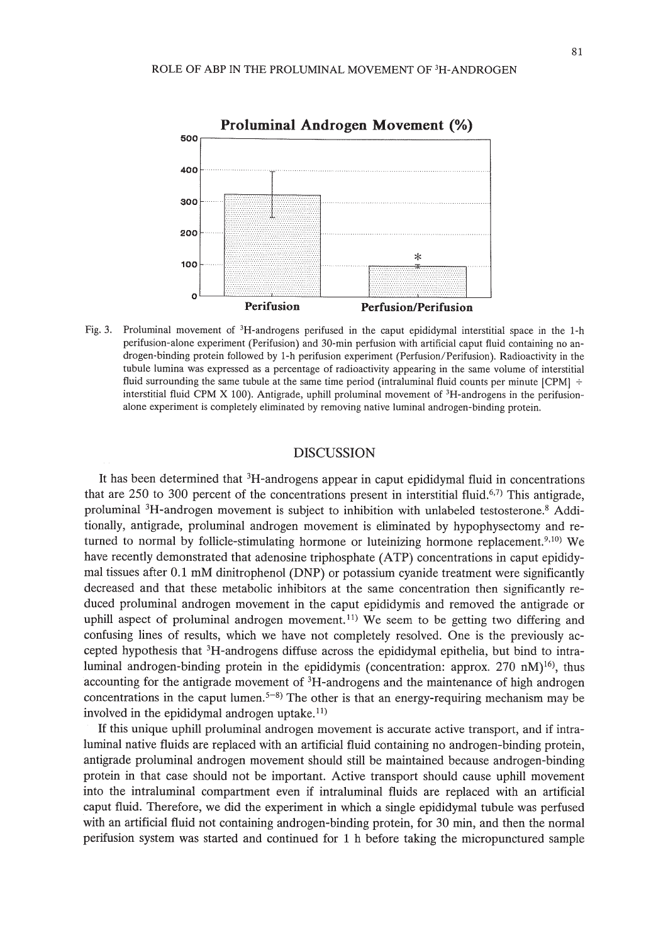

Fig. 3. Proluminal movement of 3H-androgens perifused in the caput epididymal interstitial space in the 1-h perifusion-alone experiment (Perifusion) and 30-min perfusion with artificial caput fluid containing no androgen-binding protein followed by 1-h perifusion experiment (Perfusion/Perifusion). Radioactivity in the tubule lumina was expressed as a percentage of radioactivity appearing in the same volume of interstitial fluid surrounding the same tubule at the same time period (intraluminal fluid counts per minute [CPM]  $\div$ interstitial fluid CPM X 100). Antigrade, uphill proluminal movement of 3H-androgens in the perifusionalone experiment is completely eliminated by removing native luminal androgen-binding protein.

# DISCUSSION

It has been determined that 3H-androgens appear in caput epididymal fluid in concentrations that are  $250$  to 300 percent of the concentrations present in interstitial fluid.<sup>6,7)</sup> This antigrade, proluminal <sup>3</sup>H-androgen movement is subject to inhibition with unlabeled testosterone.<sup>8</sup> Additionally, antigrade, proluminal androgen movement is eliminated by hypophysectomy and returned to normal by follicle-stimulating hormone or luteinizing hormone replacement.<sup>9,10</sup> We have recently demonstrated that adenosine triphosphate (ATP) concentrations in caput epididymal tissues after 0.1 mM dinitrophenol (DNP) or potassium cyanide treatment were significantly decreased and that these metabolic inhibitors at the same concentration then significantly reduced proluminal androgen movement in the caput epididymis and removed the antigrade or uphill aspect of proluminal androgen movement.<sup> $11)$ </sup> We seem to be getting two differing and confusing lines of results, which we have not completely resolved. One is the previously accepted hypothesis that 3H-androgens diffuse across the epididymal epithelia, but bind to intraluminal androgen-binding protein in the epididymis (concentration: approx. 270 nM)<sup>16</sup>), thus accounting for the antigrade movement of 3H-androgens and the maintenance of high androgen concentrations in the caput lumen.<sup> $5-8$ </sup>) The other is that an energy-requiring mechanism may be involved in the epididymal androgen uptake. $^{11}$ )

If this unique uphill proluminal androgen movement is accurate active transport, and if intraluminal native fluids are replaced with an artificial fluid containing no androgen-binding protein, antigrade proluminal androgen movement should still be maintained because androgen-binding protein in that case should not be important. Active transport should cause uphill movement into the intraluminal compartment even if intraluminal fluids are replaced with an artificial caput fluid. Therefore, we did the experiment in which a single epididymal tubule was perfused with an artificial fluid not containing androgen-binding protein, for 30 min, and then the normal perifusion system was started and continued for 1 h before taking the micropunctured sample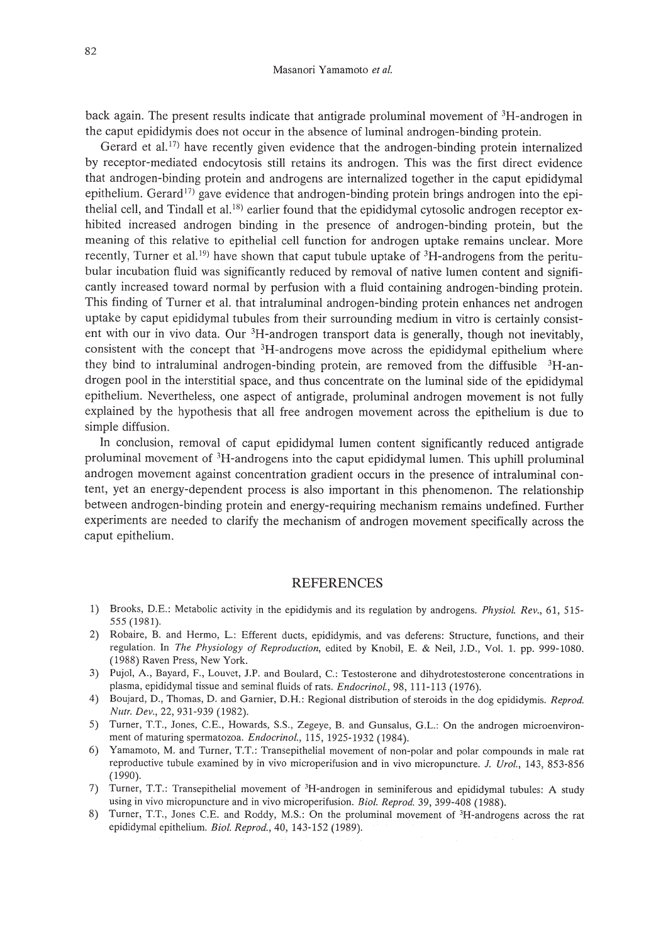back again. The present results indicate that antigrade proluminal movement of 3H-androgen in the caput epididymis does not occur in the absence of luminal androgen-binding protein.

Gerard et al.<sup>17)</sup> have recently given evidence that the androgen-binding protein internalized by receptor-mediated endocytosis still retains its androgen. This was the first direct evidence that androgen-binding protein and androgens are internalized together in the caput epididymal epithelium. Gerard<sup>17)</sup> gave evidence that androgen-binding protein brings androgen into the epithelial cell, and Tindall et al.<sup>18)</sup> earlier found that the epididymal cytosolic androgen receptor exhibited increased androgen binding in the presence of androgen-binding protein, but the meaning of this relative to epithelial cell function for androgen uptake remains unclear. More recently, Turner et al.<sup>19</sup> have shown that caput tubule uptake of  ${}^{3}$ H-androgens from the peritubular incubation fluid was significantly reduced by removal of native lumen content and significantly increased toward normal by perfusion with a fluid containing androgen-binding protein. This finding of Turner et al. that intraluminal androgen-binding protein enhances net androgen uptake by caput epididymal tubules from their surrounding medium in vitro is certainly consistent with our in vivo data. Our <sup>3</sup>H-androgen transport data is generally, though not inevitably, consistent with the concept that  ${}^{3}H$ -androgens move across the epididymal epithelium where they bind to intraluminal androgen-binding protein, are removed from the diffusible <sup>3</sup>H-androgen pool in the interstitial space, and thus concentrate on the luminal side of the epididymal epithelium. Nevertheless, one aspect of antigrade, proluminal androgen movement is not fully explained by the hypothesis that all free androgen movement across the epithelium is due to simple diffusion.

In conclusion, removal of caput epididymal lumen content significantly reduced antigrade proluminal movement of 3H-androgens into the caput epididymal lumen. This uphill proluminal androgen movement against concentration gradient occurs in the presence of intraluminal content, yet an energy-dependent process is also important in this phenomenon. The relationship between androgen-binding protein and energy-requiring mechanism remains undefined. Further experiments are needed to clarify the mechanism of androgen movement specifically across the caput epithelium.

### REFERENCES

- 1) Brooks, D.E.: Metabolic activity in the epididymis and its regulation by androgens. *Physiol. Rev.,* 61, 515- 555 (1981).
- 2) Robaire, B. and Hermo, L.: Efferent ducts, epididymis, and vas deferens: Structure, functions, and their regulation. In *The Physiology of Reproduction,* edited by Knobil, E. & Neil, J.D., Vol. 1. pp. 999-1080. (1988) Raven Press, New York.
- 3) Pujol, A., Bayard, F., Louvet, J.P. and Boulard, C: Testosterone and dihydrotestosterone concentrations in plasma, epididymal tissue and seminal fluids of rats. *Endocrinol.,* 98, 111-113 (1976).
- 4) Boujard, D., Thomas, D. and Garnier, D.H.: Regional distribution of steroids in the dog epididymis. *Reprod. Nutr. Dev.,* 22, 931-939 (1982).
- 5) Turner, T.T., Jones, CE., Howards, S.S., Zegeye, B. and Gunsalus, G.L.: On the androgen microenvironment of maturing spermatozoa. *Endocrinol.,* 115, 1925-1932 (1984).
- 6) Yamamoto, M. and Turner, T.T.: Transepithelial movement of non-polar and polar compounds in male rat reproductive tubule examined by in vivo microperifusion and in vivo micropuncture. J. *Urol.,* 143, 853-856 (1990).
- 7) Turner, T.T.: Transepithelial movement of 3H-androgen in seminiferous and epididymal tubules: A study using in vivo micropuncture and in vivo microperifusion. *BioI. Reprod.* 39, 399-408 (1988).
- 8) Turner, T.T., Jones CE. and Roddy, M.S.: On the proluminal movement of 3H-androgens across the rat epididymal epithelium. *Bioi. Reprod.,* 40, 143-152 (1989).